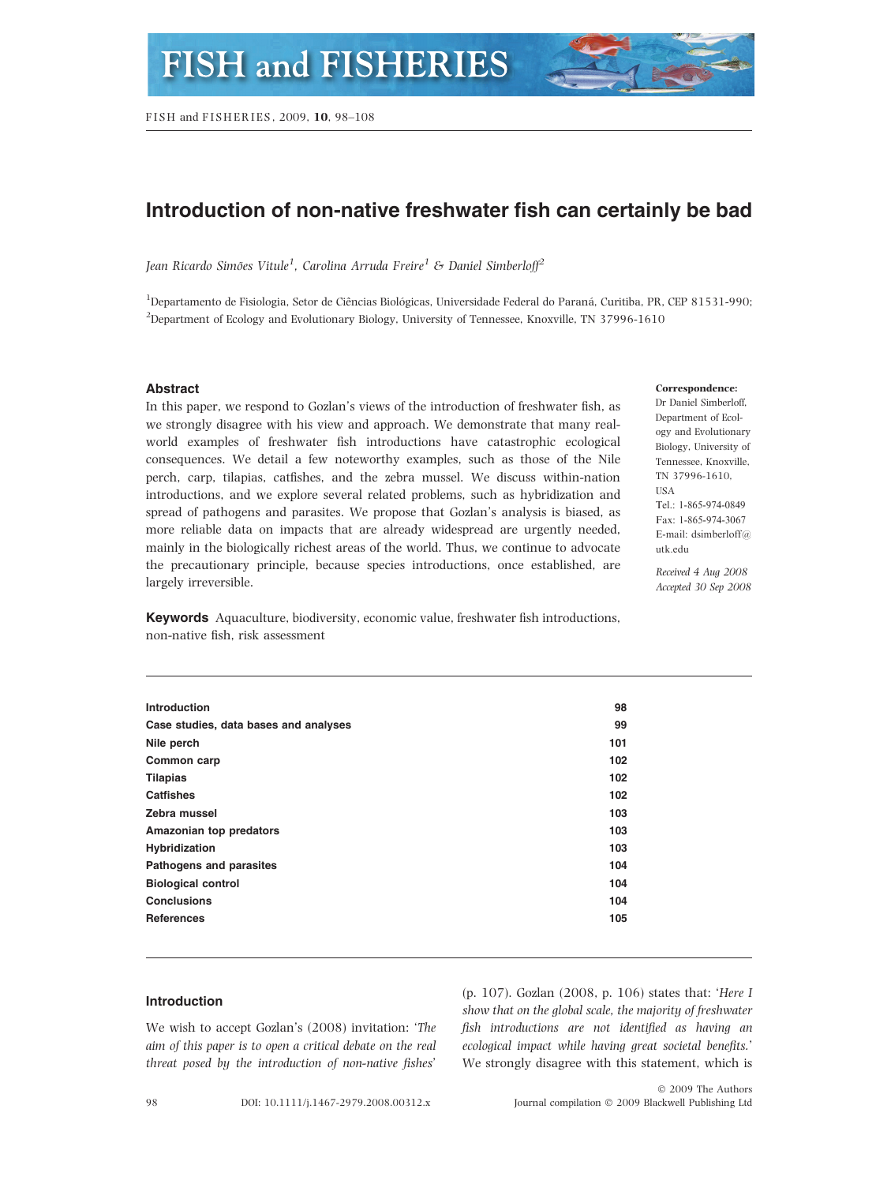# Introduction of non-native freshwater fish can certainly be bad

Jean Ricardo Simões Vitule<sup>1</sup>, Carolina Arruda Freire<sup>1</sup> & Daniel Simberloff<sup>2</sup>

<sup>1</sup>Departamento de Fisiologia, Setor de Ciências Biológicas, Universidade Federal do Paraná, Curitiba, PR, CEP 81531-990; <sup>2</sup>Department of Ecology and Evolutionary Biology, University of Tennessee, Knoxville, TN 37996-1610

## **Abstract**

In this paper, we respond to Gozlan's views of the introduction of freshwater fish, as we strongly disagree with his view and approach. We demonstrate that many realworld examples of freshwater fish introductions have catastrophic ecological consequences. We detail a few noteworthy examples, such as those of the Nile perch, carp, tilapias, catfishes, and the zebra mussel. We discuss within-nation introductions, and we explore several related problems, such as hybridization and spread of pathogens and parasites. We propose that Gozlan's analysis is biased, as more reliable data on impacts that are already widespread are urgently needed, mainly in the biologically richest areas of the world. Thus, we continue to advocate the precautionary principle, because species introductions, once established, are largely irreversible.

#### Correspondence:

Dr Daniel Simberloff, Department of Ecology and Evolutionary Biology, University of Tennessee, Knoxville, TN 37996-1610, **TISA** Tel.: 1-865-974-0849 Fax: 1-865-974-3067 E-mail: dsimberloff@ utk.edu

Received 4 Aug 2008 Accepted 30 Sep 2008

Keywords Aquaculture, biodiversity, economic value, freshwater fish introductions, non-native fish, risk assessment

| <b>Introduction</b>                   | 98  |
|---------------------------------------|-----|
| Case studies, data bases and analyses | 99  |
| Nile perch                            | 101 |
| Common carp                           | 102 |
| <b>Tilapias</b>                       | 102 |
| <b>Catfishes</b>                      | 102 |
| Zebra mussel                          | 103 |
| Amazonian top predators               | 103 |
| Hybridization                         | 103 |
| Pathogens and parasites               | 104 |
| <b>Biological control</b>             | 104 |
| <b>Conclusions</b>                    | 104 |
| <b>References</b>                     | 105 |
|                                       |     |

# Introduction

We wish to accept Gozlan's (2008) invitation: 'The aim of this paper is to open a critical debate on the real threat posed by the introduction of non-native fishes'

(p. 107). Gozlan (2008, p. 106) states that: 'Here I show that on the global scale, the majority of freshwater fish introductions are not identified as having an ecological impact while having great societal benefits.' We strongly disagree with this statement, which is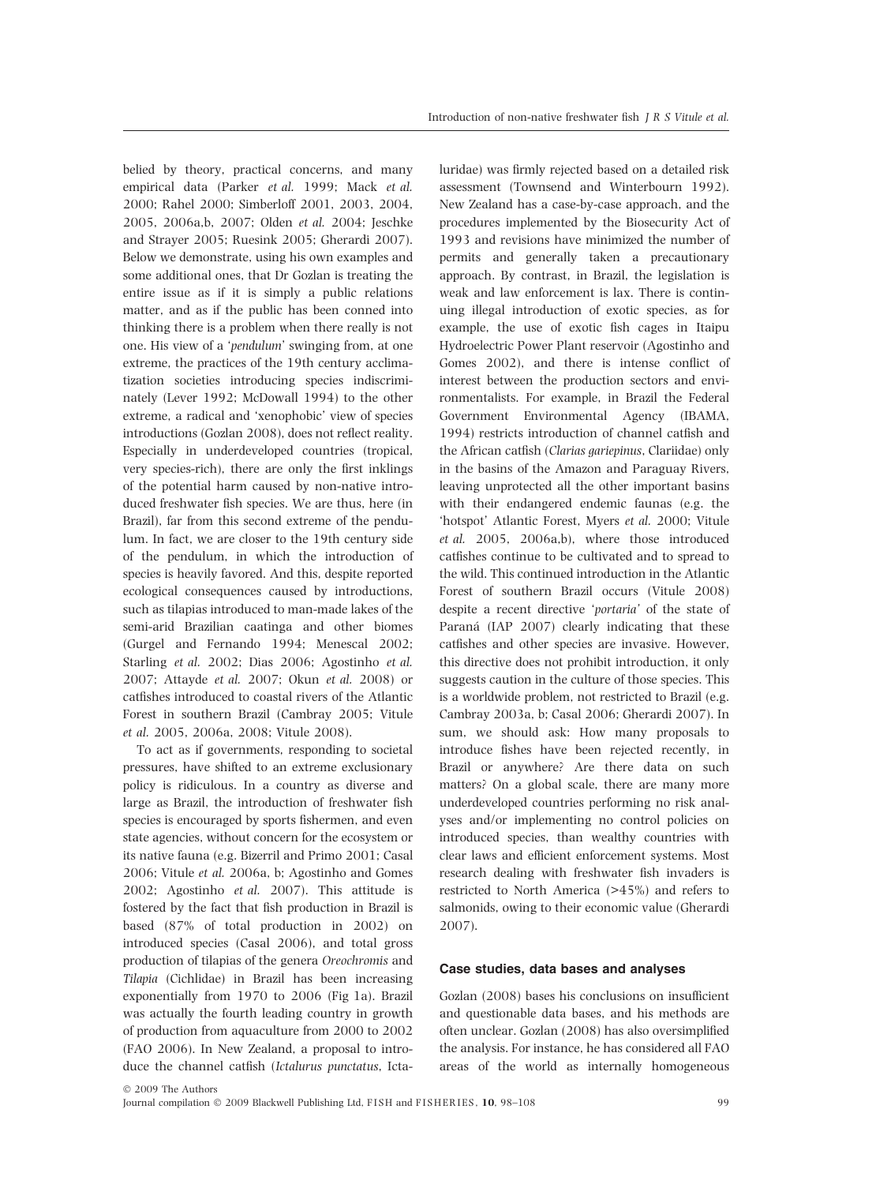belied by theory, practical concerns, and many empirical data (Parker et al. 1999; Mack et al. 2000; Rahel 2000; Simberloff 2001, 2003, 2004, 2005, 2006a,b, 2007; Olden et al. 2004; Jeschke and Strayer 2005; Ruesink 2005; Gherardi 2007). Below we demonstrate, using his own examples and some additional ones, that Dr Gozlan is treating the entire issue as if it is simply a public relations matter, and as if the public has been conned into thinking there is a problem when there really is not one. His view of a 'pendulum' swinging from, at one extreme, the practices of the 19th century acclimatization societies introducing species indiscriminately (Lever 1992; McDowall 1994) to the other extreme, a radical and 'xenophobic' view of species introductions (Gozlan 2008), does not reflect reality. Especially in underdeveloped countries (tropical, very species-rich), there are only the first inklings of the potential harm caused by non-native introduced freshwater fish species. We are thus, here (in Brazil), far from this second extreme of the pendulum. In fact, we are closer to the 19th century side of the pendulum, in which the introduction of species is heavily favored. And this, despite reported ecological consequences caused by introductions, such as tilapias introduced to man-made lakes of the semi-arid Brazilian caatinga and other biomes (Gurgel and Fernando 1994; Menescal 2002; Starling et al. 2002; Dias 2006; Agostinho et al. 2007; Attayde et al. 2007; Okun et al. 2008) or catfishes introduced to coastal rivers of the Atlantic Forest in southern Brazil (Cambray 2005; Vitule et al. 2005, 2006a, 2008; Vitule 2008).

To act as if governments, responding to societal pressures, have shifted to an extreme exclusionary policy is ridiculous. In a country as diverse and large as Brazil, the introduction of freshwater fish species is encouraged by sports fishermen, and even state agencies, without concern for the ecosystem or its native fauna (e.g. Bizerril and Primo 2001; Casal 2006; Vitule et al. 2006a, b; Agostinho and Gomes 2002; Agostinho et al. 2007). This attitude is fostered by the fact that fish production in Brazil is based (87% of total production in 2002) on introduced species (Casal 2006), and total gross production of tilapias of the genera Oreochromis and Tilapia (Cichlidae) in Brazil has been increasing exponentially from 1970 to 2006 (Fig 1a). Brazil was actually the fourth leading country in growth of production from aquaculture from 2000 to 2002 (FAO 2006). In New Zealand, a proposal to introduce the channel catfish (Ictalurus punctatus, Ictaluridae) was firmly rejected based on a detailed risk assessment (Townsend and Winterbourn 1992). New Zealand has a case-by-case approach, and the procedures implemented by the Biosecurity Act of 1993 and revisions have minimized the number of permits and generally taken a precautionary approach. By contrast, in Brazil, the legislation is weak and law enforcement is lax. There is continuing illegal introduction of exotic species, as for example, the use of exotic fish cages in Itaipu Hydroelectric Power Plant reservoir (Agostinho and Gomes 2002), and there is intense conflict of interest between the production sectors and environmentalists. For example, in Brazil the Federal Government Environmental Agency (IBAMA, 1994) restricts introduction of channel catfish and the African catfish (Clarias gariepinus, Clariidae) only in the basins of the Amazon and Paraguay Rivers, leaving unprotected all the other important basins with their endangered endemic faunas (e.g. the 'hotspot' Atlantic Forest, Myers et al. 2000; Vitule et al. 2005, 2006a,b), where those introduced catfishes continue to be cultivated and to spread to the wild. This continued introduction in the Atlantic Forest of southern Brazil occurs (Vitule 2008) despite a recent directive 'portaria' of the state of Paraná (IAP 2007) clearly indicating that these catfishes and other species are invasive. However, this directive does not prohibit introduction, it only suggests caution in the culture of those species. This is a worldwide problem, not restricted to Brazil (e.g. Cambray 2003a, b; Casal 2006; Gherardi 2007). In sum, we should ask: How many proposals to introduce fishes have been rejected recently, in Brazil or anywhere? Are there data on such matters? On a global scale, there are many more underdeveloped countries performing no risk analyses and/or implementing no control policies on introduced species, than wealthy countries with clear laws and efficient enforcement systems. Most research dealing with freshwater fish invaders is restricted to North America (>45%) and refers to salmonids, owing to their economic value (Gherardi 2007).

#### Case studies, data bases and analyses

Gozlan (2008) bases his conclusions on insufficient and questionable data bases, and his methods are often unclear. Gozlan (2008) has also oversimplified the analysis. For instance, he has considered all FAO areas of the world as internally homogeneous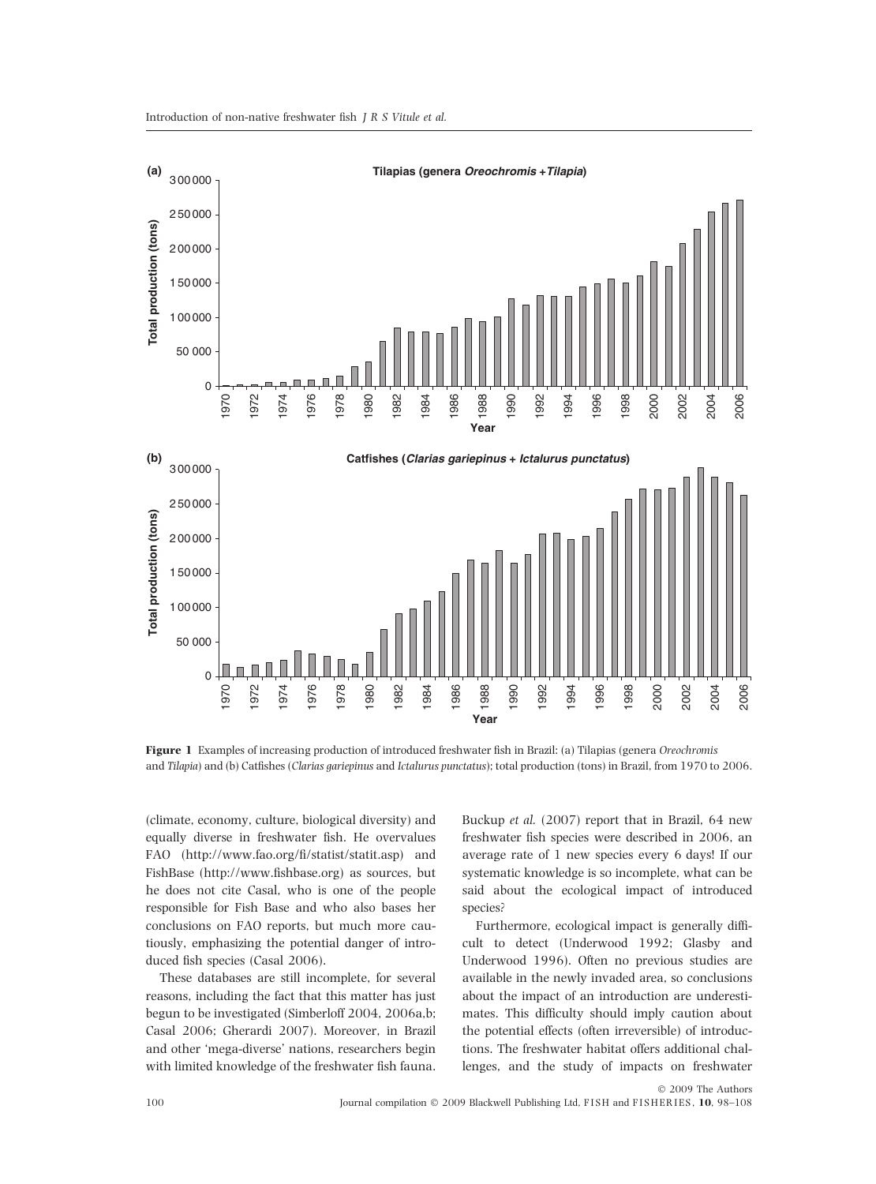

Figure 1 Examples of increasing production of introduced freshwater fish in Brazil: (a) Tilapias (genera Oreochromis and Tilapia) and (b) Catfishes (Clarias gariepinus and Ictalurus punctatus); total production (tons) in Brazil, from 1970 to 2006.

(climate, economy, culture, biological diversity) and equally diverse in freshwater fish. He overvalues FAO (http://www.fao.org/fi/statist/statit.asp) and FishBase (http://www.fishbase.org) as sources, but he does not cite Casal, who is one of the people responsible for Fish Base and who also bases her conclusions on FAO reports, but much more cautiously, emphasizing the potential danger of introduced fish species (Casal 2006).

These databases are still incomplete, for several reasons, including the fact that this matter has just begun to be investigated (Simberloff 2004, 2006a,b; Casal 2006; Gherardi 2007). Moreover, in Brazil and other 'mega-diverse' nations, researchers begin with limited knowledge of the freshwater fish fauna.

Buckup et al. (2007) report that in Brazil, 64 new freshwater fish species were described in 2006, an average rate of 1 new species every 6 days! If our systematic knowledge is so incomplete, what can be said about the ecological impact of introduced species?

Furthermore, ecological impact is generally difficult to detect (Underwood 1992; Glasby and Underwood 1996). Often no previous studies are available in the newly invaded area, so conclusions about the impact of an introduction are underestimates. This difficulty should imply caution about the potential effects (often irreversible) of introductions. The freshwater habitat offers additional challenges, and the study of impacts on freshwater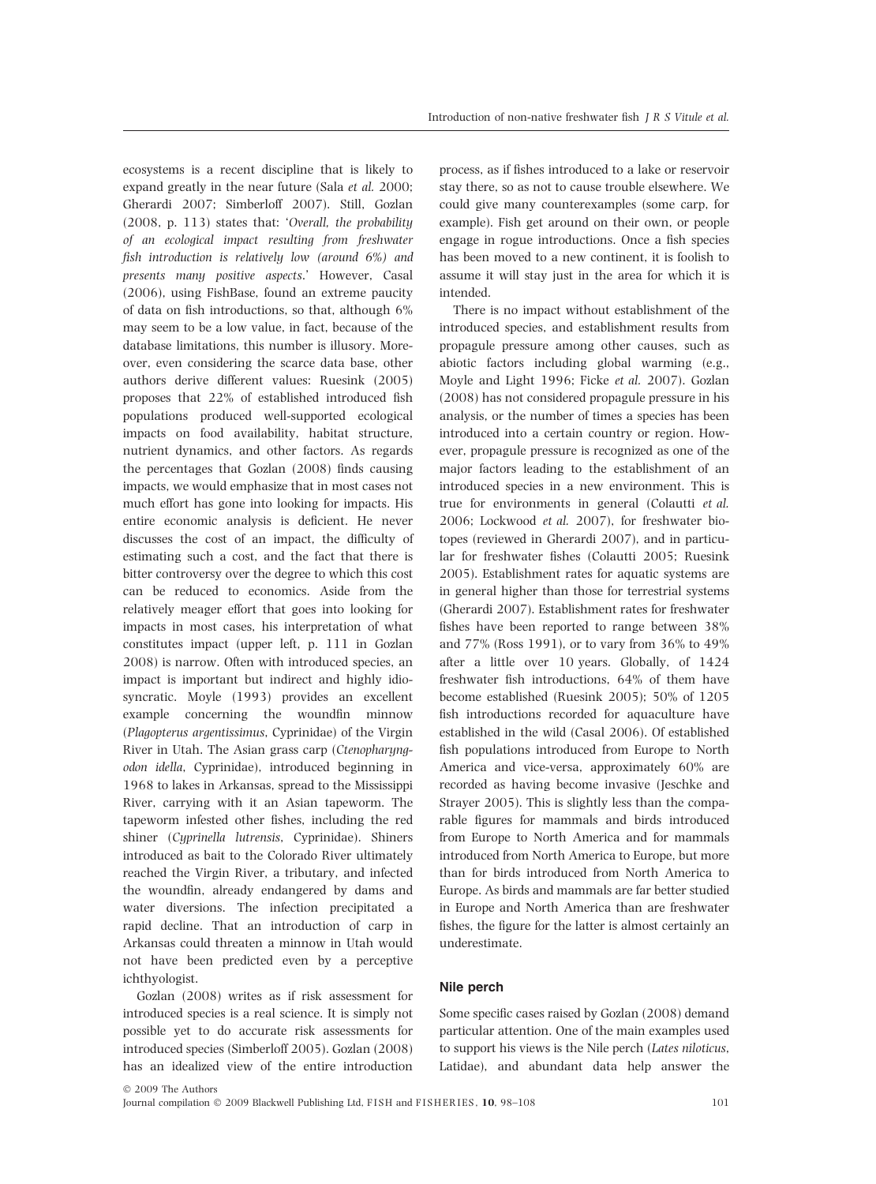ecosystems is a recent discipline that is likely to expand greatly in the near future (Sala et al. 2000; Gherardi 2007; Simberloff 2007). Still, Gozlan (2008, p. 113) states that: 'Overall, the probability of an ecological impact resulting from freshwater fish introduction is relatively low (around 6%) and presents many positive aspects.' However, Casal (2006), using FishBase, found an extreme paucity of data on fish introductions, so that, although 6% may seem to be a low value, in fact, because of the database limitations, this number is illusory. Moreover, even considering the scarce data base, other authors derive different values: Ruesink (2005) proposes that 22% of established introduced fish populations produced well-supported ecological impacts on food availability, habitat structure, nutrient dynamics, and other factors. As regards the percentages that Gozlan (2008) finds causing impacts, we would emphasize that in most cases not much effort has gone into looking for impacts. His entire economic analysis is deficient. He never discusses the cost of an impact, the difficulty of estimating such a cost, and the fact that there is bitter controversy over the degree to which this cost can be reduced to economics. Aside from the relatively meager effort that goes into looking for impacts in most cases, his interpretation of what constitutes impact (upper left, p. 111 in Gozlan 2008) is narrow. Often with introduced species, an impact is important but indirect and highly idiosyncratic. Moyle (1993) provides an excellent example concerning the woundfin minnow (Plagopterus argentissimus, Cyprinidae) of the Virgin River in Utah. The Asian grass carp (Ctenopharyngodon idella, Cyprinidae), introduced beginning in 1968 to lakes in Arkansas, spread to the Mississippi River, carrying with it an Asian tapeworm. The tapeworm infested other fishes, including the red shiner (Cyprinella lutrensis, Cyprinidae). Shiners introduced as bait to the Colorado River ultimately reached the Virgin River, a tributary, and infected the woundfin, already endangered by dams and water diversions. The infection precipitated a rapid decline. That an introduction of carp in Arkansas could threaten a minnow in Utah would not have been predicted even by a perceptive ichthyologist.

Gozlan (2008) writes as if risk assessment for introduced species is a real science. It is simply not possible yet to do accurate risk assessments for introduced species (Simberloff 2005). Gozlan (2008) has an idealized view of the entire introduction

process, as if fishes introduced to a lake or reservoir stay there, so as not to cause trouble elsewhere. We could give many counterexamples (some carp, for example). Fish get around on their own, or people engage in rogue introductions. Once a fish species has been moved to a new continent, it is foolish to assume it will stay just in the area for which it is intended.

There is no impact without establishment of the introduced species, and establishment results from propagule pressure among other causes, such as abiotic factors including global warming (e.g., Moyle and Light 1996; Ficke et al. 2007). Gozlan (2008) has not considered propagule pressure in his analysis, or the number of times a species has been introduced into a certain country or region. However, propagule pressure is recognized as one of the major factors leading to the establishment of an introduced species in a new environment. This is true for environments in general (Colautti et al. 2006; Lockwood et al. 2007), for freshwater biotopes (reviewed in Gherardi 2007), and in particular for freshwater fishes (Colautti 2005; Ruesink 2005). Establishment rates for aquatic systems are in general higher than those for terrestrial systems (Gherardi 2007). Establishment rates for freshwater fishes have been reported to range between 38% and 77% (Ross 1991), or to vary from 36% to 49% after a little over 10 years. Globally, of 1424 freshwater fish introductions, 64% of them have become established (Ruesink 2005); 50% of 1205 fish introductions recorded for aquaculture have established in the wild (Casal 2006). Of established fish populations introduced from Europe to North America and vice-versa, approximately 60% are recorded as having become invasive (Jeschke and Strayer 2005). This is slightly less than the comparable figures for mammals and birds introduced from Europe to North America and for mammals introduced from North America to Europe, but more than for birds introduced from North America to Europe. As birds and mammals are far better studied in Europe and North America than are freshwater fishes, the figure for the latter is almost certainly an underestimate.

# Nile perch

Some specific cases raised by Gozlan (2008) demand particular attention. One of the main examples used to support his views is the Nile perch (Lates niloticus, Latidae), and abundant data help answer the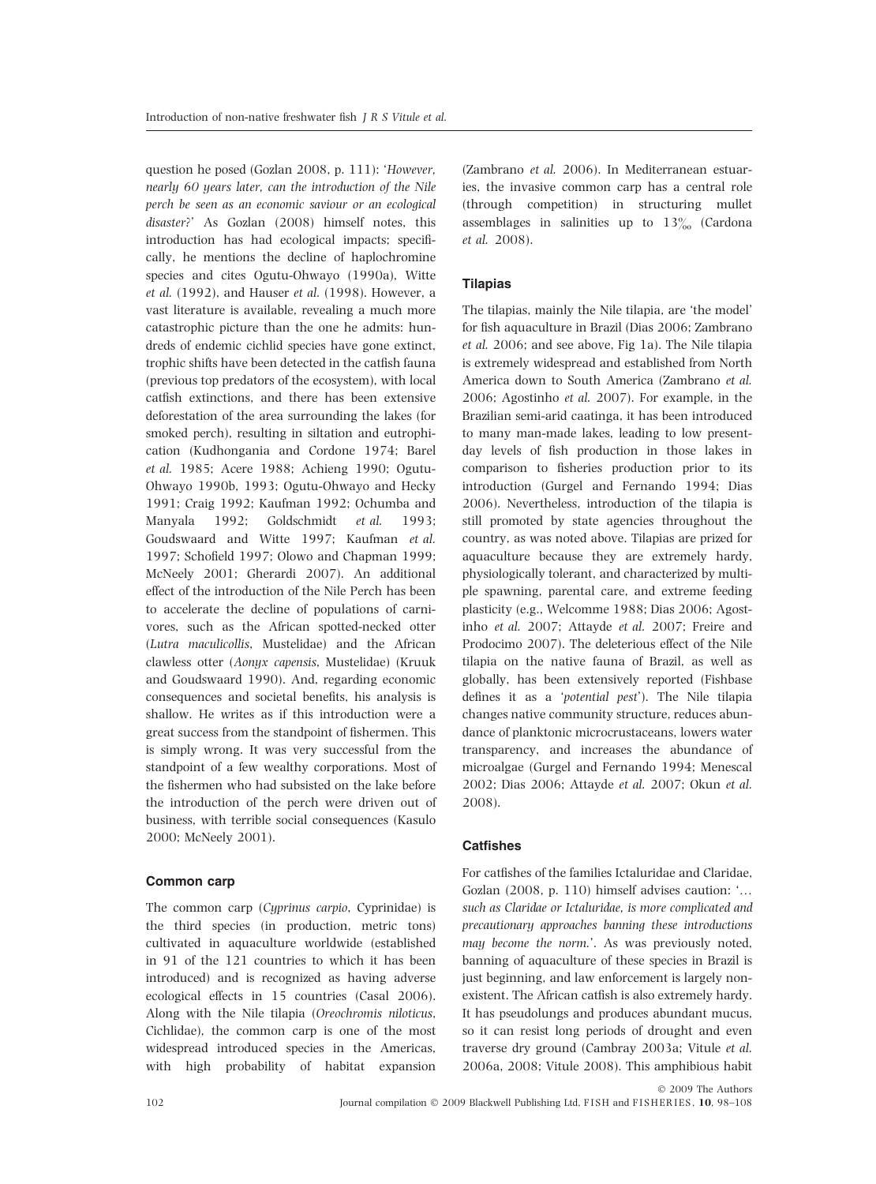question he posed (Gozlan 2008, p. 111): 'However, nearly 60 years later, can the introduction of the Nile perch be seen as an economic saviour or an ecological disaster?' As Gozlan (2008) himself notes, this introduction has had ecological impacts; specifically, he mentions the decline of haplochromine species and cites Ogutu-Ohwayo (1990a), Witte et al. (1992), and Hauser et al. (1998). However, a vast literature is available, revealing a much more catastrophic picture than the one he admits: hundreds of endemic cichlid species have gone extinct, trophic shifts have been detected in the catfish fauna (previous top predators of the ecosystem), with local catfish extinctions, and there has been extensive deforestation of the area surrounding the lakes (for smoked perch), resulting in siltation and eutrophication (Kudhongania and Cordone 1974; Barel et al. 1985; Acere 1988; Achieng 1990; Ogutu-Ohwayo 1990b, 1993; Ogutu-Ohwayo and Hecky 1991; Craig 1992; Kaufman 1992; Ochumba and Manyala 1992; Goldschmidt et al. 1993; Goudswaard and Witte 1997; Kaufman et al. 1997; Schofield 1997; Olowo and Chapman 1999; McNeely 2001; Gherardi 2007). An additional effect of the introduction of the Nile Perch has been to accelerate the decline of populations of carnivores, such as the African spotted-necked otter (Lutra maculicollis, Mustelidae) and the African clawless otter (Aonyx capensis, Mustelidae) (Kruuk and Goudswaard 1990). And, regarding economic consequences and societal benefits, his analysis is shallow. He writes as if this introduction were a great success from the standpoint of fishermen. This is simply wrong. It was very successful from the standpoint of a few wealthy corporations. Most of the fishermen who had subsisted on the lake before the introduction of the perch were driven out of business, with terrible social consequences (Kasulo 2000; McNeely 2001).

# Common carp

The common carp (Cyprinus carpio, Cyprinidae) is the third species (in production, metric tons) cultivated in aquaculture worldwide (established in 91 of the 121 countries to which it has been introduced) and is recognized as having adverse ecological effects in 15 countries (Casal 2006). Along with the Nile tilapia (Oreochromis niloticus, Cichlidae), the common carp is one of the most widespread introduced species in the Americas, with high probability of habitat expansion

(Zambrano et al. 2006). In Mediterranean estuaries, the invasive common carp has a central role (through competition) in structuring mullet assemblages in salinities up to  $13\%$  (Cardona et al. 2008).

# **Tilapias**

The tilapias, mainly the Nile tilapia, are 'the model' for fish aquaculture in Brazil (Dias 2006; Zambrano et al. 2006; and see above, Fig 1a). The Nile tilapia is extremely widespread and established from North America down to South America (Zambrano et al. 2006; Agostinho et al. 2007). For example, in the Brazilian semi-arid caatinga, it has been introduced to many man-made lakes, leading to low presentday levels of fish production in those lakes in comparison to fisheries production prior to its introduction (Gurgel and Fernando 1994; Dias 2006). Nevertheless, introduction of the tilapia is still promoted by state agencies throughout the country, as was noted above. Tilapias are prized for aquaculture because they are extremely hardy, physiologically tolerant, and characterized by multiple spawning, parental care, and extreme feeding plasticity (e.g., Welcomme 1988; Dias 2006; Agostinho et al. 2007; Attayde et al. 2007; Freire and Prodocimo 2007). The deleterious effect of the Nile tilapia on the native fauna of Brazil, as well as globally, has been extensively reported (Fishbase defines it as a 'potential pest'). The Nile tilapia changes native community structure, reduces abundance of planktonic microcrustaceans, lowers water transparency, and increases the abundance of microalgae (Gurgel and Fernando 1994; Menescal 2002; Dias 2006; Attayde et al. 2007; Okun et al. 2008).

### **Catfishes**

For catfishes of the families Ictaluridae and Claridae, Gozlan (2008, p. 110) himself advises caution: '… such as Claridae or Ictaluridae, is more complicated and precautionary approaches banning these introductions may become the norm.'. As was previously noted, banning of aquaculture of these species in Brazil is just beginning, and law enforcement is largely nonexistent. The African catfish is also extremely hardy. It has pseudolungs and produces abundant mucus, so it can resist long periods of drought and even traverse dry ground (Cambray 2003a; Vitule et al. 2006a, 2008; Vitule 2008). This amphibious habit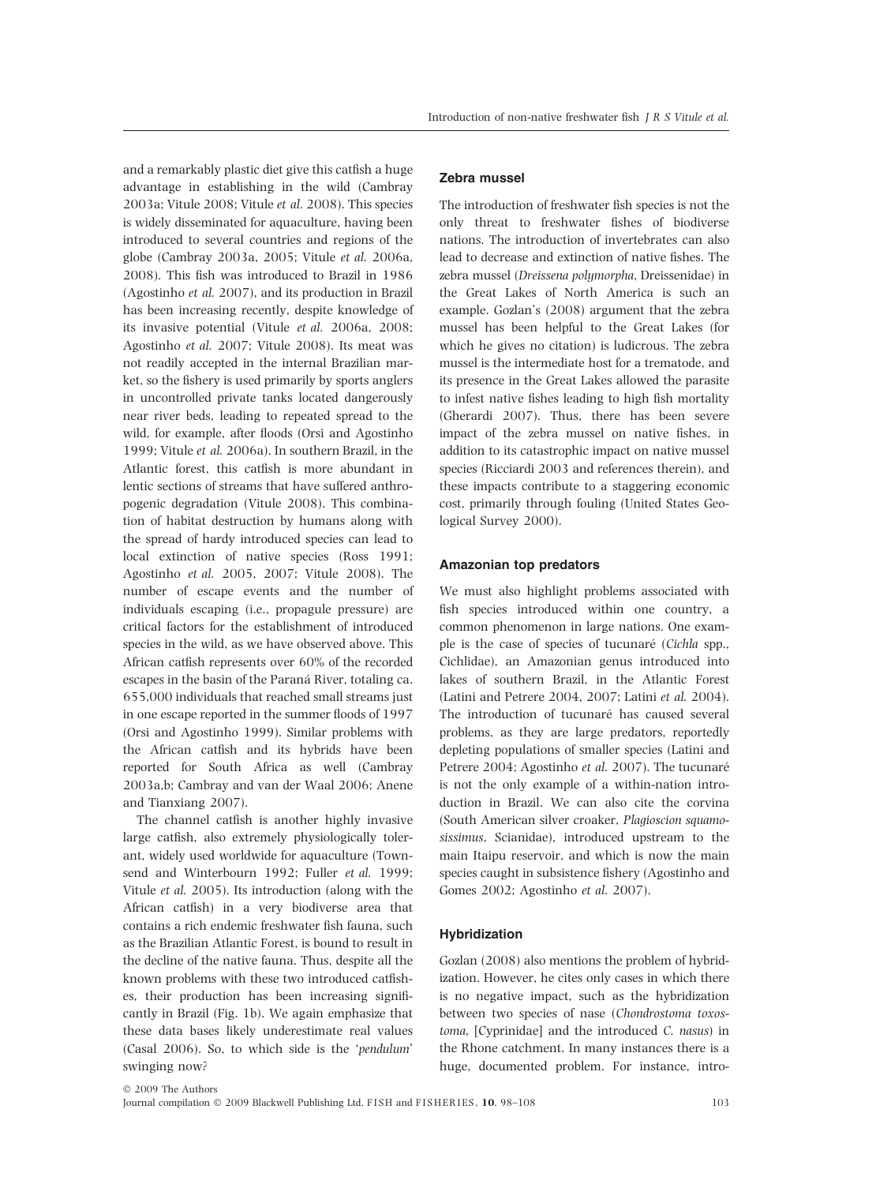and a remarkably plastic diet give this catfish a huge advantage in establishing in the wild (Cambray 2003a; Vitule 2008; Vitule et al. 2008). This species is widely disseminated for aquaculture, having been introduced to several countries and regions of the globe (Cambray 2003a, 2005; Vitule et al. 2006a, 2008). This fish was introduced to Brazil in 1986 (Agostinho et al. 2007), and its production in Brazil has been increasing recently, despite knowledge of its invasive potential (Vitule et al. 2006a, 2008; Agostinho et al. 2007; Vitule 2008). Its meat was not readily accepted in the internal Brazilian market, so the fishery is used primarily by sports anglers in uncontrolled private tanks located dangerously near river beds, leading to repeated spread to the wild, for example, after floods (Orsi and Agostinho 1999; Vitule et al. 2006a). In southern Brazil, in the Atlantic forest, this catfish is more abundant in lentic sections of streams that have suffered anthropogenic degradation (Vitule 2008). This combination of habitat destruction by humans along with the spread of hardy introduced species can lead to local extinction of native species (Ross 1991; Agostinho et al. 2005, 2007; Vitule 2008). The number of escape events and the number of individuals escaping (i.e., propagule pressure) are critical factors for the establishment of introduced species in the wild, as we have observed above. This African catfish represents over 60% of the recorded escapes in the basin of the Paraná River, totaling ca. 655,000 individuals that reached small streams just in one escape reported in the summer floods of 1997 (Orsi and Agostinho 1999). Similar problems with the African catfish and its hybrids have been reported for South Africa as well (Cambray 2003a,b; Cambray and van der Waal 2006; Anene and Tianxiang 2007).

The channel catfish is another highly invasive large catfish, also extremely physiologically tolerant, widely used worldwide for aquaculture (Townsend and Winterbourn 1992; Fuller et al. 1999; Vitule et al. 2005). Its introduction (along with the African catfish) in a very biodiverse area that contains a rich endemic freshwater fish fauna, such as the Brazilian Atlantic Forest, is bound to result in the decline of the native fauna. Thus, despite all the known problems with these two introduced catfishes, their production has been increasing significantly in Brazil (Fig. 1b). We again emphasize that these data bases likely underestimate real values (Casal 2006). So, to which side is the 'pendulum' swinging now?

# Zebra mussel

The introduction of freshwater fish species is not the only threat to freshwater fishes of biodiverse nations. The introduction of invertebrates can also lead to decrease and extinction of native fishes. The zebra mussel (Dreissena polymorpha, Dreissenidae) in the Great Lakes of North America is such an example. Gozlan's (2008) argument that the zebra mussel has been helpful to the Great Lakes (for which he gives no citation) is ludicrous. The zebra mussel is the intermediate host for a trematode, and its presence in the Great Lakes allowed the parasite to infest native fishes leading to high fish mortality (Gherardi 2007). Thus, there has been severe impact of the zebra mussel on native fishes, in addition to its catastrophic impact on native mussel species (Ricciardi 2003 and references therein), and these impacts contribute to a staggering economic cost, primarily through fouling (United States Geological Survey 2000).

# Amazonian top predators

We must also highlight problems associated with fish species introduced within one country, a common phenomenon in large nations. One example is the case of species of tucunaré (Cichla spp., Cichlidae), an Amazonian genus introduced into lakes of southern Brazil, in the Atlantic Forest (Latini and Petrere 2004, 2007; Latini et al. 2004). The introduction of tucunaré has caused several problems, as they are large predators, reportedly depleting populations of smaller species (Latini and Petrere 2004; Agostinho et al. 2007). The tucunaré is not the only example of a within-nation introduction in Brazil. We can also cite the corvina (South American silver croaker, Plagioscion squamosissimus, Scianidae), introduced upstream to the main Itaipu reservoir, and which is now the main species caught in subsistence fishery (Agostinho and Gomes 2002; Agostinho et al. 2007).

#### Hybridization

Gozlan (2008) also mentions the problem of hybridization. However, he cites only cases in which there is no negative impact, such as the hybridization between two species of nase (Chondrostoma toxostoma, [Cyprinidae] and the introduced C. nasus) in the Rhone catchment. In many instances there is a huge, documented problem. For instance, intro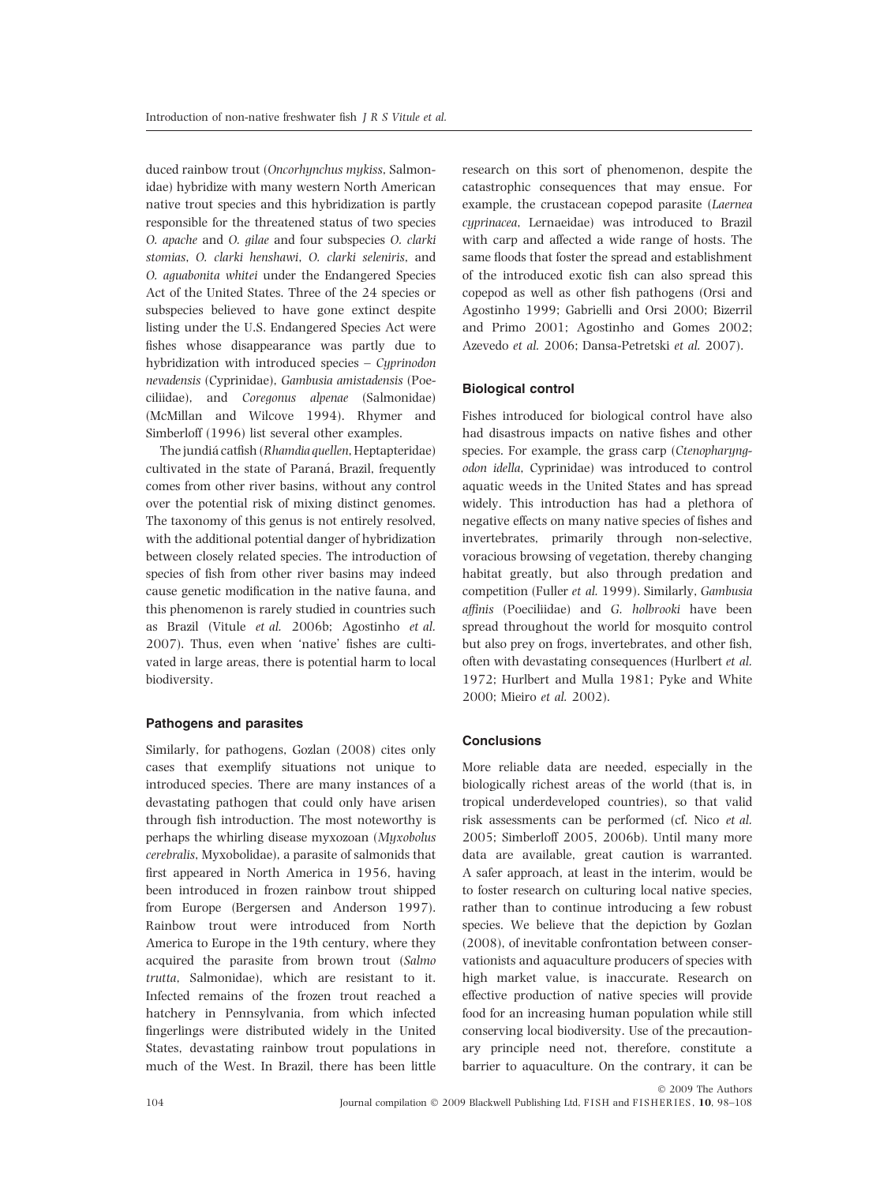duced rainbow trout (Oncorhynchus mykiss, Salmonidae) hybridize with many western North American native trout species and this hybridization is partly responsible for the threatened status of two species O. apache and O. gilae and four subspecies O. clarki stomias, O. clarki henshawi, O. clarki seleniris, and O. aguabonita whitei under the Endangered Species Act of the United States. Three of the 24 species or subspecies believed to have gone extinct despite listing under the U.S. Endangered Species Act were fishes whose disappearance was partly due to hybridization with introduced species – Cyprinodon nevadensis (Cyprinidae), Gambusia amistadensis (Poeciliidae), and Coregonus alpenae (Salmonidae) (McMillan and Wilcove 1994). Rhymer and Simberloff (1996) list several other examples.

The jundiá catfish (Rhamdia quellen, Heptapteridae) cultivated in the state of Paraná, Brazil, frequently comes from other river basins, without any control over the potential risk of mixing distinct genomes. The taxonomy of this genus is not entirely resolved, with the additional potential danger of hybridization between closely related species. The introduction of species of fish from other river basins may indeed cause genetic modification in the native fauna, and this phenomenon is rarely studied in countries such as Brazil (Vitule et al. 2006b; Agostinho et al. 2007). Thus, even when 'native' fishes are cultivated in large areas, there is potential harm to local biodiversity.

# Pathogens and parasites

Similarly, for pathogens, Gozlan (2008) cites only cases that exemplify situations not unique to introduced species. There are many instances of a devastating pathogen that could only have arisen through fish introduction. The most noteworthy is perhaps the whirling disease myxozoan (Myxobolus cerebralis, Myxobolidae), a parasite of salmonids that first appeared in North America in 1956, having been introduced in frozen rainbow trout shipped from Europe (Bergersen and Anderson 1997). Rainbow trout were introduced from North America to Europe in the 19th century, where they acquired the parasite from brown trout (Salmo trutta, Salmonidae), which are resistant to it. Infected remains of the frozen trout reached a hatchery in Pennsylvania, from which infected fingerlings were distributed widely in the United States, devastating rainbow trout populations in much of the West. In Brazil, there has been little research on this sort of phenomenon, despite the catastrophic consequences that may ensue. For example, the crustacean copepod parasite (Laernea cyprinacea, Lernaeidae) was introduced to Brazil with carp and affected a wide range of hosts. The same floods that foster the spread and establishment of the introduced exotic fish can also spread this copepod as well as other fish pathogens (Orsi and Agostinho 1999; Gabrielli and Orsi 2000; Bizerril and Primo 2001; Agostinho and Gomes 2002; Azevedo et al. 2006; Dansa-Petretski et al. 2007).

# Biological control

Fishes introduced for biological control have also had disastrous impacts on native fishes and other species. For example, the grass carp (Ctenopharyngodon idella, Cyprinidae) was introduced to control aquatic weeds in the United States and has spread widely. This introduction has had a plethora of negative effects on many native species of fishes and invertebrates, primarily through non-selective, voracious browsing of vegetation, thereby changing habitat greatly, but also through predation and competition (Fuller et al. 1999). Similarly, Gambusia affinis (Poeciliidae) and G. holbrooki have been spread throughout the world for mosquito control but also prey on frogs, invertebrates, and other fish, often with devastating consequences (Hurlbert et al. 1972; Hurlbert and Mulla 1981; Pyke and White 2000; Mieiro et al. 2002).

### **Conclusions**

More reliable data are needed, especially in the biologically richest areas of the world (that is, in tropical underdeveloped countries), so that valid risk assessments can be performed (cf. Nico et al. 2005; Simberloff 2005, 2006b). Until many more data are available, great caution is warranted. A safer approach, at least in the interim, would be to foster research on culturing local native species, rather than to continue introducing a few robust species. We believe that the depiction by Gozlan (2008), of inevitable confrontation between conservationists and aquaculture producers of species with high market value, is inaccurate. Research on effective production of native species will provide food for an increasing human population while still conserving local biodiversity. Use of the precautionary principle need not, therefore, constitute a barrier to aquaculture. On the contrary, it can be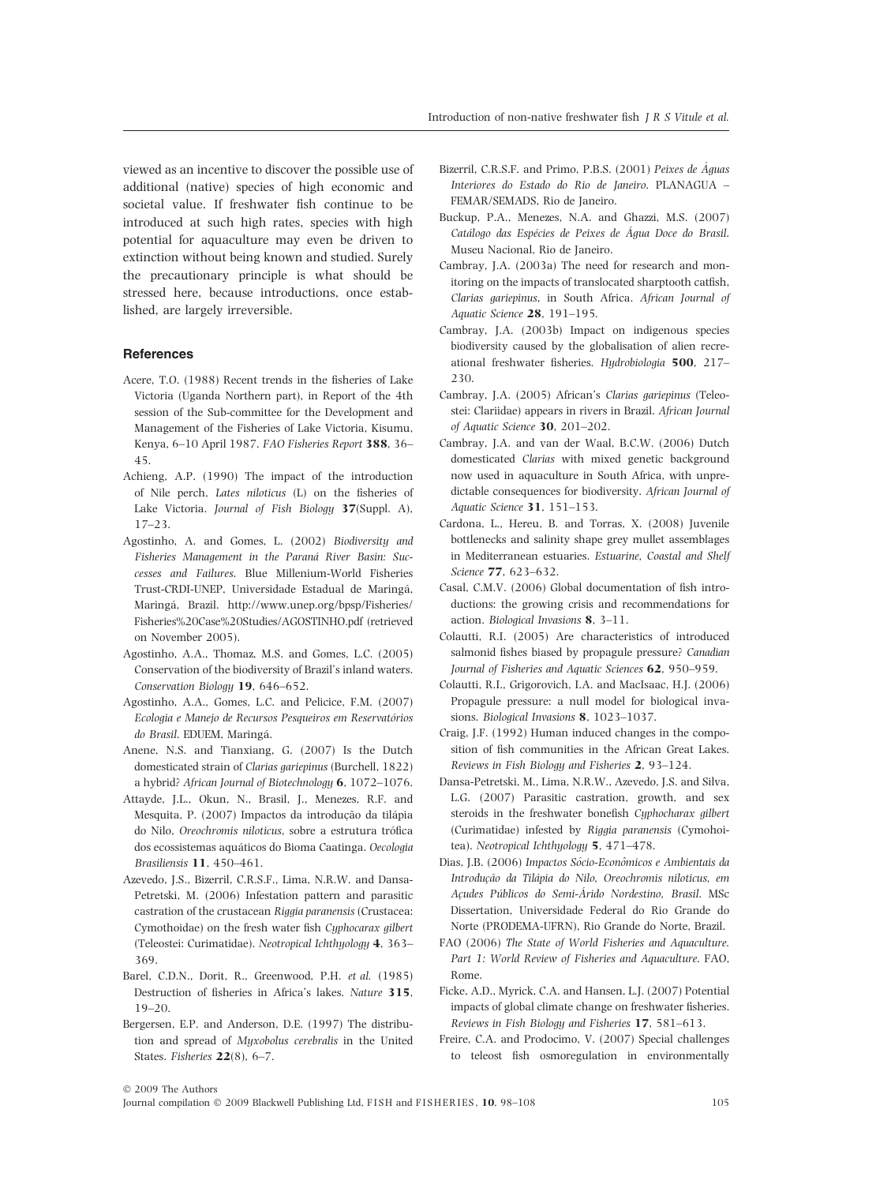viewed as an incentive to discover the possible use of additional (native) species of high economic and societal value. If freshwater fish continue to be introduced at such high rates, species with high potential for aquaculture may even be driven to extinction without being known and studied. Surely the precautionary principle is what should be stressed here, because introductions, once established, are largely irreversible.

#### **References**

- Acere, T.O. (1988) Recent trends in the fisheries of Lake Victoria (Uganda Northern part), in Report of the 4th session of the Sub-committee for the Development and Management of the Fisheries of Lake Victoria, Kisumu, Kenya, 6–10 April 1987. FAO Fisheries Report 388, 36– 45.
- Achieng, A.P. (1990) The impact of the introduction of Nile perch, Lates niloticus (L) on the fisheries of Lake Victoria. Journal of Fish Biology 37(Suppl. A), 17–23.
- Agostinho, A. and Gomes, L. (2002) Biodiversity and Fisheries Management in the Paraná River Basin: Successes and Failures. Blue Millenium-World Fisheries Trust-CRDI-UNEP, Universidade Estadual de Maringa´, Maringa´, Brazil. http://www.unep.org/bpsp/Fisheries/ Fisheries%20Case%20Studies/AGOSTINHO.pdf (retrieved on November 2005).
- Agostinho, A.A., Thomaz, M.S. and Gomes, L.C. (2005) Conservation of the biodiversity of Brazil's inland waters. Conservation Biology 19, 646–652.
- Agostinho, A.A., Gomes, L.C. and Pelicice, F.M. (2007) Ecologia e Manejo de Recursos Pesqueiros em Reservatórios do Brasil. EDUEM, Maringá.
- Anene, N.S. and Tianxiang, G. (2007) Is the Dutch domesticated strain of Clarias gariepinus (Burchell, 1822) a hybrid? African Journal of Biotechnology 6, 1072–1076.
- Attayde, J.L., Okun, N., Brasil, J., Menezes, R.F. and Mesquita, P. (2007) Impactos da introdução da tilápia do Nilo, Oreochromis niloticus, sobre a estrutura trófica dos ecossistemas aquáticos do Bioma Caatinga. Oecologia Brasiliensis 11, 450–461.
- Azevedo, J.S., Bizerril, C.R.S.F., Lima, N.R.W. and Dansa-Petretski, M. (2006) Infestation pattern and parasitic castration of the crustacean Riggia paranensis (Crustacea: Cymothoidae) on the fresh water fish Cyphocarax gilbert (Teleostei: Curimatidae). Neotropical Ichthyology 4, 363– 369.
- Barel, C.D.N., Dorit, R., Greenwood, P.H. et al. (1985) Destruction of fisheries in Africa's lakes. Nature 315, 19–20.
- Bergersen, E.P. and Anderson, D.E. (1997) The distribution and spread of Myxobolus cerebralis in the United States. Fisheries 22(8), 6–7.
- Bizerril, C.R.S.F. and Primo, P.B.S. (2001) Peixes de Águas Interiores do Estado do Rio de Janeiro. PLANAGUA – FEMAR/SEMADS, Rio de Janeiro.
- Buckup, P.A., Menezes, N.A. and Ghazzi, M.S. (2007) Catálogo das Espécies de Peixes de Água Doce do Brasil. Museu Nacional, Rio de Janeiro.
- Cambray, J.A. (2003a) The need for research and monitoring on the impacts of translocated sharptooth catfish, Clarias gariepinus, in South Africa. African Journal of Aquatic Science 28, 191–195.
- Cambray, J.A. (2003b) Impact on indigenous species biodiversity caused by the globalisation of alien recreational freshwater fisheries. Hydrobiologia 500, 217– 230.
- Cambray, J.A. (2005) African's Clarias gariepinus (Teleostei: Clariidae) appears in rivers in Brazil. African Journal of Aquatic Science 30, 201–202.
- Cambray, J.A. and van der Waal, B.C.W. (2006) Dutch domesticated Clarias with mixed genetic background now used in aquaculture in South Africa, with unpredictable consequences for biodiversity. African Journal of Aquatic Science 31, 151–153.
- Cardona, L., Hereu, B. and Torras, X. (2008) Juvenile bottlenecks and salinity shape grey mullet assemblages in Mediterranean estuaries. Estuarine, Coastal and Shelf Science 77, 623–632.
- Casal, C.M.V. (2006) Global documentation of fish introductions: the growing crisis and recommendations for action. Biological Invasions 8, 3–11.
- Colautti, R.I. (2005) Are characteristics of introduced salmonid fishes biased by propagule pressure? Canadian Journal of Fisheries and Aquatic Sciences 62, 950–959.
- Colautti, R.I., Grigorovich, I.A. and MacIsaac, H.J. (2006) Propagule pressure: a null model for biological invasions. Biological Invasions 8, 1023–1037.
- Craig, J.F. (1992) Human induced changes in the composition of fish communities in the African Great Lakes. Reviews in Fish Biology and Fisheries 2, 93–124.
- Dansa-Petretski, M., Lima, N.R.W., Azevedo, J.S. and Silva, L.G. (2007) Parasitic castration, growth, and sex steroids in the freshwater bonefish Cyphocharax gilbert (Curimatidae) infested by Riggia paranensis (Cymohoitea). Neotropical Ichthyology 5, 471–478.
- Dias, J.B. (2006) Impactos Sócio-Econômicos e Ambientais da Introdução da Tilápia do Nilo, Oreochromis niloticus, em Açudes Públicos do Semi-Árido Nordestino, Brasil. MSc Dissertation, Universidade Federal do Rio Grande do Norte (PRODEMA-UFRN), Rio Grande do Norte, Brazil.
- FAO (2006) The State of World Fisheries and Aquaculture. Part 1: World Review of Fisheries and Aquaculture. FAO, Rome.
- Ficke, A.D., Myrick, C.A. and Hansen, L.J. (2007) Potential impacts of global climate change on freshwater fisheries. Reviews in Fish Biology and Fisheries 17, 581–613.
- Freire, C.A. and Prodocimo, V. (2007) Special challenges to teleost fish osmoregulation in environmentally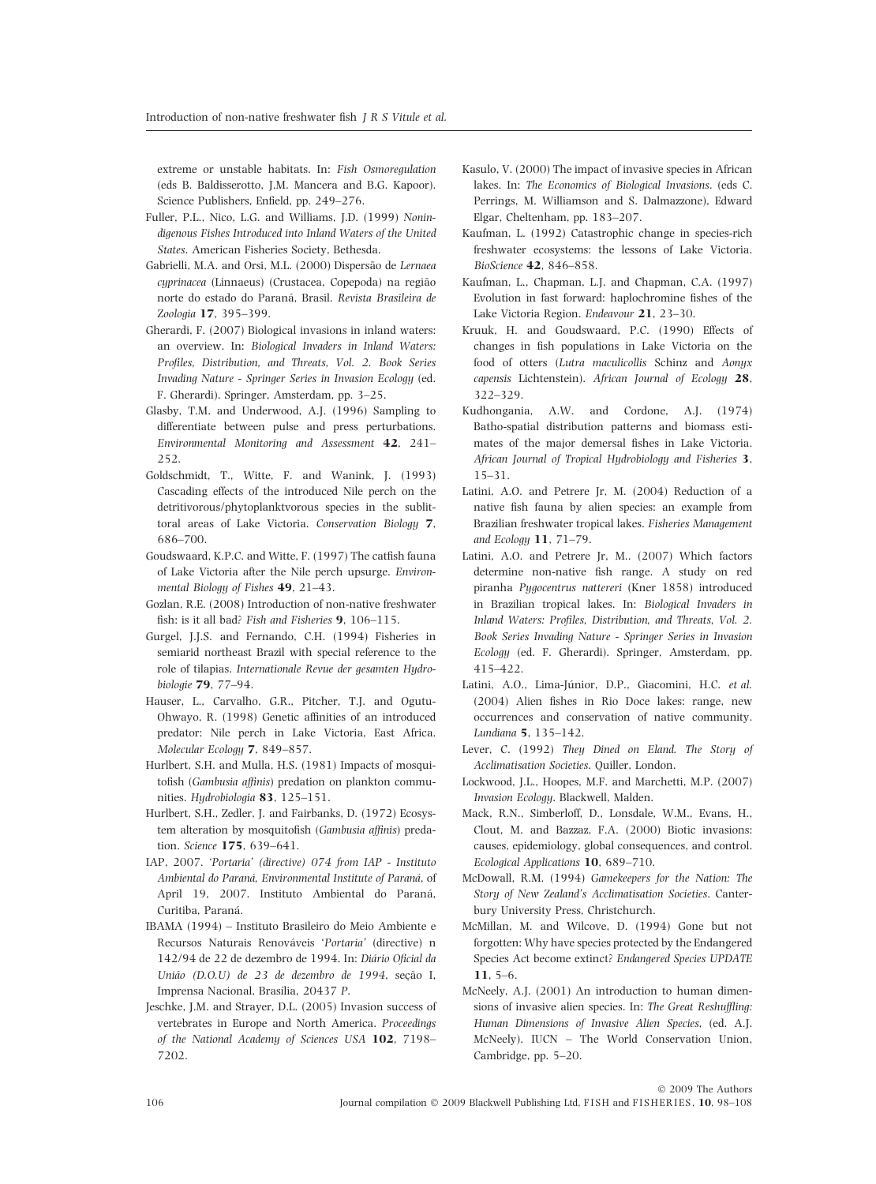extreme or unstable habitats. In: Fish Osmoregulation (eds B. Baldisserotto, J.M. Mancera and B.G. Kapoor). Science Publishers, Enfield, pp. 249–276.

- Fuller, P.L., Nico, L.G. and Williams, J.D. (1999) Nonindigenous Fishes Introduced into Inland Waters of the United States. American Fisheries Society, Bethesda.
- Gabrielli, M.A. and Orsi, M.L. (2000) Dispersão de Lernaea cyprinacea (Linnaeus) (Crustacea, Copepoda) na região norte do estado do Paraná, Brasil. Revista Brasileira de Zoologia 17, 395–399.
- Gherardi, F. (2007) Biological invasions in inland waters: an overview. In: Biological Invaders in Inland Waters: Profiles, Distribution, and Threats, Vol. 2. Book Series Invading Nature - Springer Series in Invasion Ecology (ed. F. Gherardi). Springer, Amsterdam, pp. 3–25.
- Glasby, T.M. and Underwood, A.J. (1996) Sampling to differentiate between pulse and press perturbations. Environmental Monitoring and Assessment 42, 241– 252.
- Goldschmidt, T., Witte, F. and Wanink, J. (1993) Cascading effects of the introduced Nile perch on the detritivorous/phytoplanktvorous species in the sublittoral areas of Lake Victoria. Conservation Biology 7, 686–700.
- Goudswaard, K.P.C. and Witte, F. (1997) The catfish fauna of Lake Victoria after the Nile perch upsurge. Environmental Biology of Fishes 49, 21-43.
- Gozlan, R.E. (2008) Introduction of non-native freshwater fish: is it all bad? Fish and Fisheries 9, 106–115.
- Gurgel, J.J.S. and Fernando, C.H. (1994) Fisheries in semiarid northeast Brazil with special reference to the role of tilapias. Internationale Revue der gesamten Hydrobiologie 79, 77–94.
- Hauser, L., Carvalho, G.R., Pitcher, T.J. and Ogutu-Ohwayo, R. (1998) Genetic affinities of an introduced predator: Nile perch in Lake Victoria, East Africa. Molecular Ecology 7, 849–857.
- Hurlbert, S.H. and Mulla, H.S. (1981) Impacts of mosquitofish (Gambusia affinis) predation on plankton communities. Hydrobiologia 83, 125–151.
- Hurlbert, S.H., Zedler, J. and Fairbanks, D. (1972) Ecosystem alteration by mosquitofish (Gambusia affinis) predation. Science 175, 639–641.
- IAP, 2007. 'Portaria' (directive) 074 from IAP Instituto Ambiental do Paraná, Environmental Institute of Paraná, of April 19, 2007. Instituto Ambiental do Paraná, Curitiba, Paraná.
- IBAMA (1994) Instituto Brasileiro do Meio Ambiente e Recursos Naturais Renováveis 'Portaria' (directive) n 142/94 de 22 de dezembro de 1994. In: Diário Oficial da União (D.O.U) de 23 de dezembro de 1994, seção I, Imprensa Nacional, Brasília, 20437 P.
- Jeschke, J.M. and Strayer, D.L. (2005) Invasion success of vertebrates in Europe and North America. Proceedings of the National Academy of Sciences USA 102, 7198– 7202.
- Kasulo, V. (2000) The impact of invasive species in African lakes. In: The Economics of Biological Invasions. (eds C. Perrings, M. Williamson and S. Dalmazzone), Edward Elgar, Cheltenham, pp. 183–207.
- Kaufman, L. (1992) Catastrophic change in species-rich freshwater ecosystems: the lessons of Lake Victoria. BioScience 42, 846–858.
- Kaufman, L., Chapman, L.J. and Chapman, C.A. (1997) Evolution in fast forward: haplochromine fishes of the Lake Victoria Region. Endeavour 21, 23–30.
- Kruuk, H. and Goudswaard, P.C. (1990) Effects of changes in fish populations in Lake Victoria on the food of otters (Lutra maculicollis Schinz and Aonyx capensis Lichtenstein). African Journal of Ecology 28, 322–329.
- Kudhongania, A.W. and Cordone, A.J. (1974) Batho-spatial distribution patterns and biomass estimates of the major demersal fishes in Lake Victoria. African Journal of Tropical Hydrobiology and Fisheries 3, 15–31.
- Latini, A.O. and Petrere Jr, M. (2004) Reduction of a native fish fauna by alien species: an example from Brazilian freshwater tropical lakes. Fisheries Management and Ecology 11, 71–79.
- Latini, A.O. and Petrere Jr, M.. (2007) Which factors determine non-native fish range. A study on red piranha Pygocentrus nattereri (Kner 1858) introduced in Brazilian tropical lakes. In: Biological Invaders in Inland Waters: Profiles, Distribution, and Threats, Vol. 2. Book Series Invading Nature - Springer Series in Invasion Ecology (ed. F. Gherardi). Springer, Amsterdam, pp. 415–422.
- Latini, A.O., Lima-Júnior, D.P., Giacomini, H.C. et al. (2004) Alien fishes in Rio Doce lakes: range, new occurrences and conservation of native community. Lundiana 5, 135–142.
- Lever, C. (1992) They Dined on Eland. The Story of Acclimatisation Societies. Quiller, London.
- Lockwood, J.L., Hoopes, M.F. and Marchetti, M.P. (2007) Invasion Ecology. Blackwell, Malden.
- Mack, R.N., Simberloff, D., Lonsdale, W.M., Evans, H., Clout, M. and Bazzaz, F.A. (2000) Biotic invasions: causes, epidemiology, global consequences, and control. Ecological Applications 10, 689–710.
- McDowall, R.M. (1994) Gamekeepers for the Nation: The Story of New Zealand's Acclimatisation Societies. Canterbury University Press, Christchurch.
- McMillan, M. and Wilcove, D. (1994) Gone but not forgotten: Why have species protected by the Endangered Species Act become extinct? Endangered Species UPDATE 11, 5–6.
- McNeely, A.J. (2001) An introduction to human dimensions of invasive alien species. In: The Great Reshuffling: Human Dimensions of Invasive Alien Species, (ed. A.J. McNeely). IUCN – The World Conservation Union, Cambridge, pp. 5–20.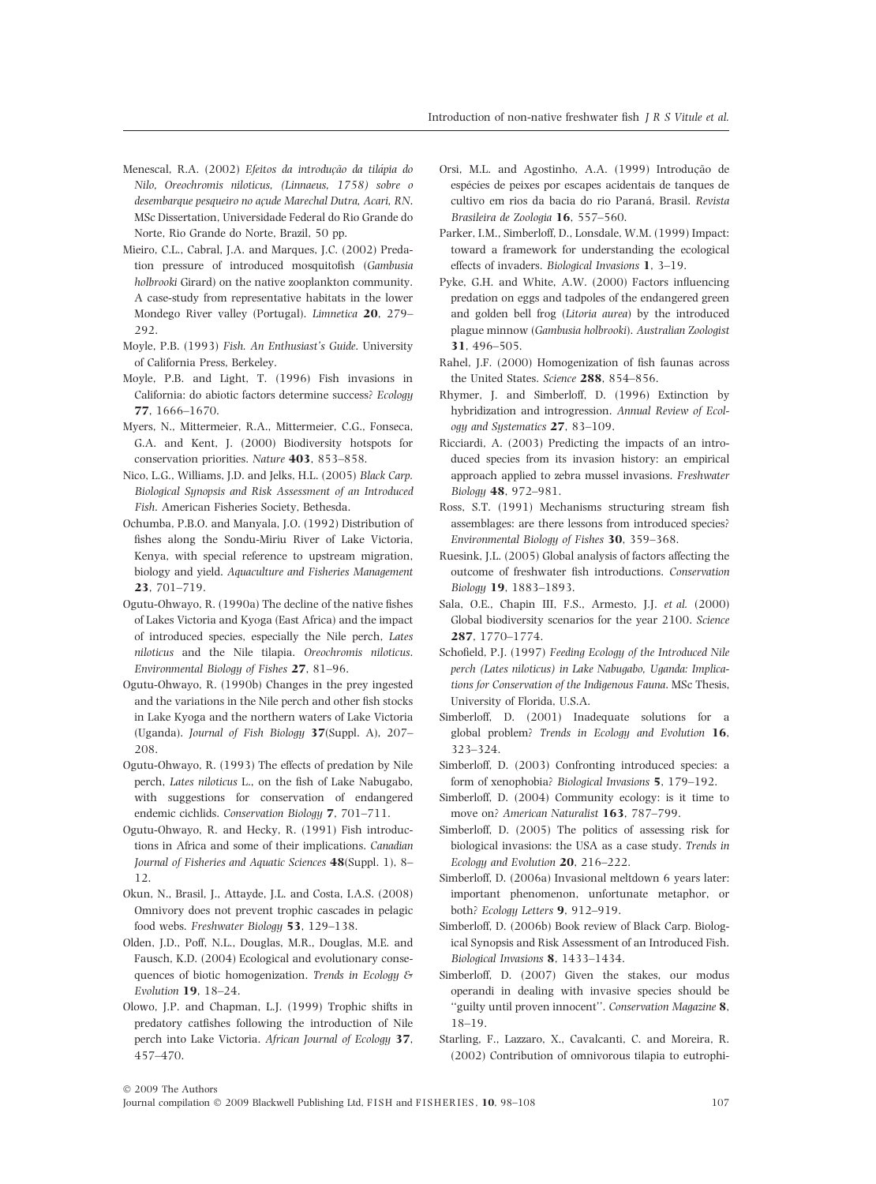- Menescal, R.A. (2002) Efeitos da introdução da tilápia do Nilo, Oreochromis niloticus, (Linnaeus, 1758) sobre o desembarque pesqueiro no acude Marechal Dutra, Acari, RN. MSc Dissertation, Universidade Federal do Rio Grande do Norte, Rio Grande do Norte, Brazil, 50 pp.
- Mieiro, C.L., Cabral, J.A. and Marques, J.C. (2002) Predation pressure of introduced mosquitofish (Gambusia holbrooki Girard) on the native zooplankton community. A case-study from representative habitats in the lower Mondego River valley (Portugal). Limnetica 20, 279– 292.
- Moyle, P.B. (1993) Fish. An Enthusiast's Guide. University of California Press, Berkeley.
- Moyle, P.B. and Light, T. (1996) Fish invasions in California: do abiotic factors determine success? Ecology 77, 1666–1670.
- Myers, N., Mittermeier, R.A., Mittermeier, C.G., Fonseca, G.A. and Kent, J. (2000) Biodiversity hotspots for conservation priorities. Nature 403, 853–858.
- Nico, L.G., Williams, J.D. and Jelks, H.L. (2005) Black Carp. Biological Synopsis and Risk Assessment of an Introduced Fish. American Fisheries Society, Bethesda.
- Ochumba, P.B.O. and Manyala, J.O. (1992) Distribution of fishes along the Sondu-Miriu River of Lake Victoria, Kenya, with special reference to upstream migration, biology and yield. Aquaculture and Fisheries Management 23, 701–719.
- Ogutu-Ohwayo, R. (1990a) The decline of the native fishes of Lakes Victoria and Kyoga (East Africa) and the impact of introduced species, especially the Nile perch, Lates niloticus and the Nile tilapia. Oreochromis niloticus. Environmental Biology of Fishes 27, 81–96.
- Ogutu-Ohwayo, R. (1990b) Changes in the prey ingested and the variations in the Nile perch and other fish stocks in Lake Kyoga and the northern waters of Lake Victoria (Uganda). Journal of Fish Biology 37(Suppl. A), 207– 208.
- Ogutu-Ohwayo, R. (1993) The effects of predation by Nile perch, Lates niloticus L., on the fish of Lake Nabugabo, with suggestions for conservation of endangered endemic cichlids. Conservation Biology 7, 701-711.
- Ogutu-Ohwayo, R. and Hecky, R. (1991) Fish introductions in Africa and some of their implications. Canadian Journal of Fisheries and Aquatic Sciences 48(Suppl. 1), 8– 12.
- Okun, N., Brasil, J., Attayde, J.L. and Costa, I.A.S. (2008) Omnivory does not prevent trophic cascades in pelagic food webs. Freshwater Biology 53, 129–138.
- Olden, J.D., Poff, N.L., Douglas, M.R., Douglas, M.E. and Fausch, K.D. (2004) Ecological and evolutionary consequences of biotic homogenization. Trends in Ecology & Evolution 19, 18–24.
- Olowo, J.P. and Chapman, L.J. (1999) Trophic shifts in predatory catfishes following the introduction of Nile perch into Lake Victoria. African Journal of Ecology 37, 457–470.
- Orsi, M.L. and Agostinho, A.A. (1999) Introdução de espécies de peixes por escapes acidentais de tanques de cultivo em rios da bacia do rio Paraná, Brasil. Revista Brasileira de Zoologia 16, 557–560.
- Parker, I.M., Simberloff, D., Lonsdale, W.M. (1999) Impact: toward a framework for understanding the ecological effects of invaders. Biological Invasions 1, 3–19.
- Pyke, G.H. and White, A.W. (2000) Factors influencing predation on eggs and tadpoles of the endangered green and golden bell frog (Litoria aurea) by the introduced plague minnow (Gambusia holbrooki). Australian Zoologist 31, 496–505.
- Rahel, J.F. (2000) Homogenization of fish faunas across the United States. Science 288, 854–856.
- Rhymer, J. and Simberloff, D. (1996) Extinction by hybridization and introgression. Annual Review of Ecology and Systematics 27, 83–109.
- Ricciardi, A. (2003) Predicting the impacts of an introduced species from its invasion history: an empirical approach applied to zebra mussel invasions. Freshwater Biology 48, 972–981.
- Ross, S.T. (1991) Mechanisms structuring stream fish assemblages: are there lessons from introduced species? Environmental Biology of Fishes 30, 359–368.
- Ruesink, J.L. (2005) Global analysis of factors affecting the outcome of freshwater fish introductions. Conservation Biology 19, 1883–1893.
- Sala, O.E., Chapin III, F.S., Armesto, J.J. et al. (2000) Global biodiversity scenarios for the year 2100. Science 287, 1770–1774.
- Schofield, P.J. (1997) Feeding Ecology of the Introduced Nile perch (Lates niloticus) in Lake Nabugabo, Uganda: Implications for Conservation of the Indigenous Fauna. MSc Thesis, University of Florida, U.S.A.
- Simberloff, D. (2001) Inadequate solutions for a global problem? Trends in Ecology and Evolution 16, 323–324.
- Simberloff, D. (2003) Confronting introduced species: a form of xenophobia? Biological Invasions 5, 179–192.
- Simberloff, D. (2004) Community ecology: is it time to move on? American Naturalist 163, 787–799.
- Simberloff, D. (2005) The politics of assessing risk for biological invasions: the USA as a case study. Trends in Ecology and Evolution 20, 216–222.
- Simberloff, D. (2006a) Invasional meltdown 6 years later: important phenomenon, unfortunate metaphor, or both? Ecology Letters 9, 912–919.
- Simberloff, D. (2006b) Book review of Black Carp. Biological Synopsis and Risk Assessment of an Introduced Fish. Biological Invasions 8, 1433–1434.
- Simberloff, D. (2007) Given the stakes, our modus operandi in dealing with invasive species should be ''guilty until proven innocent''. Conservation Magazine 8, 18–19.
- Starling, F., Lazzaro, X., Cavalcanti, C. and Moreira, R. (2002) Contribution of omnivorous tilapia to eutrophi-

Journal compilation © 2009 Blackwell Publishing Ltd, FISH and FISHERIES, 10, 98–108 107